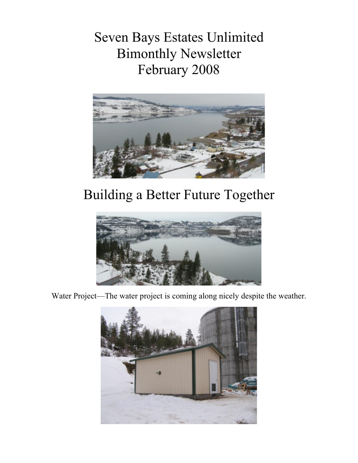Seven Bays Estates Unlimited Bimonthly Newsletter February 2008



# Building a Better Future Together



Water Project—The water project is coming along nicely despite the weather.

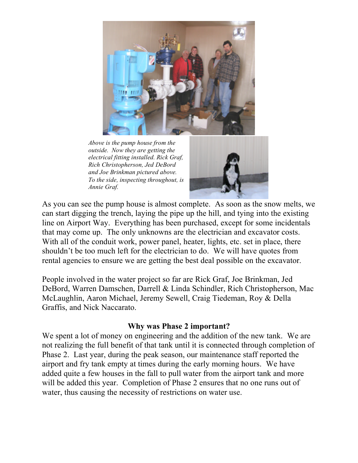

*Above is the pump house from the outside. Now they are getting the electrical fitting installed. Rick Graf, Rich Christopherson, Jed DeBord and Joe Brinkman pictured above. To the side, inspecting throughout, is Annie Graf.*



As you can see the pump house is almost complete. As soon as the snow melts, we can start digging the trench, laying the pipe up the hill, and tying into the existing line on Airport Way. Everything has been purchased, except for some incidentals that may come up. The only unknowns are the electrician and excavator costs. With all of the conduit work, power panel, heater, lights, etc. set in place, there shouldn't be too much left for the electrician to do. We will have quotes from rental agencies to ensure we are getting the best deal possible on the excavator.

People involved in the water project so far are Rick Graf, Joe Brinkman, Jed DeBord, Warren Damschen, Darrell & Linda Schindler, Rich Christopherson, Mac McLaughlin, Aaron Michael, Jeremy Sewell, Craig Tiedeman, Roy & Della Graffis, and Nick Naccarato.

#### **Why was Phase 2 important?**

We spent a lot of money on engineering and the addition of the new tank. We are not realizing the full benefit of that tank until it is connected through completion of Phase 2. Last year, during the peak season, our maintenance staff reported the airport and fry tank empty at times during the early morning hours. We have added quite a few houses in the fall to pull water from the airport tank and more will be added this year. Completion of Phase 2 ensures that no one runs out of water, thus causing the necessity of restrictions on water use.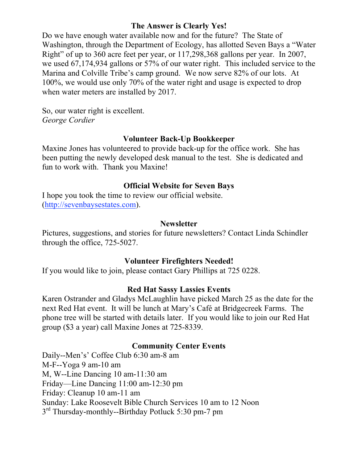## **The Answer is Clearly Yes!**

Do we have enough water available now and for the future? The State of Washington, through the Department of Ecology, has allotted Seven Bays a "Water Right" of up to 360 acre feet per year, or 117,298,368 gallons per year. In 2007, we used 67,174,934 gallons or 57% of our water right. This included service to the Marina and Colville Tribe's camp ground. We now serve 82% of our lots. At 100%, we would use only 70% of the water right and usage is expected to drop when water meters are installed by 2017.

So, our water right is excellent. *George Cordier*

## **Volunteer Back-Up Bookkeeper**

Maxine Jones has volunteered to provide back-up for the office work. She has been putting the newly developed desk manual to the test. She is dedicated and fun to work with. Thank you Maxine!

## **Official Website for Seven Bays**

I hope you took the time to review our official website. (http://sevenbaysestates.com).

#### **Newsletter**

Pictures, suggestions, and stories for future newsletters? Contact Linda Schindler through the office, 725-5027.

## **Volunteer Firefighters Needed!**

If you would like to join, please contact Gary Phillips at 725 0228.

## **Red Hat Sassy Lassies Events**

Karen Ostrander and Gladys McLaughlin have picked March 25 as the date for the next Red Hat event. It will be lunch at Mary's Café at Bridgecreek Farms. The phone tree will be started with details later. If you would like to join our Red Hat group (\$3 a year) call Maxine Jones at 725-8339.

## **Community Center Events**

Daily--Men's' Coffee Club 6:30 am-8 am M-F--Yoga 9 am-10 am M, W--Line Dancing 10 am-11:30 am Friday—Line Dancing 11:00 am-12:30 pm Friday: Cleanup 10 am-11 am Sunday: Lake Roosevelt Bible Church Services 10 am to 12 Noon 3<sup>rd</sup> Thursday-monthly--Birthday Potluck 5:30 pm-7 pm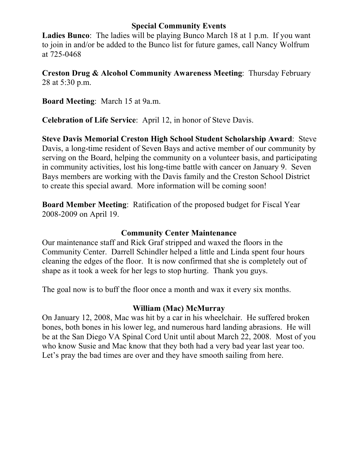#### **Special Community Events**

**Ladies Bunco**: The ladies will be playing Bunco March 18 at 1 p.m. If you want to join in and/or be added to the Bunco list for future games, call Nancy Wolfrum at 725-0468

**Creston Drug & Alcohol Community Awareness Meeting**: Thursday February 28 at 5:30 p.m.

**Board Meeting**: March 15 at 9a.m.

**Celebration of Life Service**: April 12, in honor of Steve Davis.

**Steve Davis Memorial Creston High School Student Scholarship Award**: Steve Davis, a long-time resident of Seven Bays and active member of our community by serving on the Board, helping the community on a volunteer basis, and participating in community activities, lost his long-time battle with cancer on January 9. Seven Bays members are working with the Davis family and the Creston School District to create this special award. More information will be coming soon!

**Board Member Meeting**: Ratification of the proposed budget for Fiscal Year 2008-2009 on April 19.

#### **Community Center Maintenance**

Our maintenance staff and Rick Graf stripped and waxed the floors in the Community Center. Darrell Schindler helped a little and Linda spent four hours cleaning the edges of the floor. It is now confirmed that she is completely out of shape as it took a week for her legs to stop hurting. Thank you guys.

The goal now is to buff the floor once a month and wax it every six months.

## **William (Mac) McMurray**

On January 12, 2008, Mac was hit by a car in his wheelchair. He suffered broken bones, both bones in his lower leg, and numerous hard landing abrasions. He will be at the San Diego VA Spinal Cord Unit until about March 22, 2008. Most of you who know Susie and Mac know that they both had a very bad year last year too. Let's pray the bad times are over and they have smooth sailing from here.